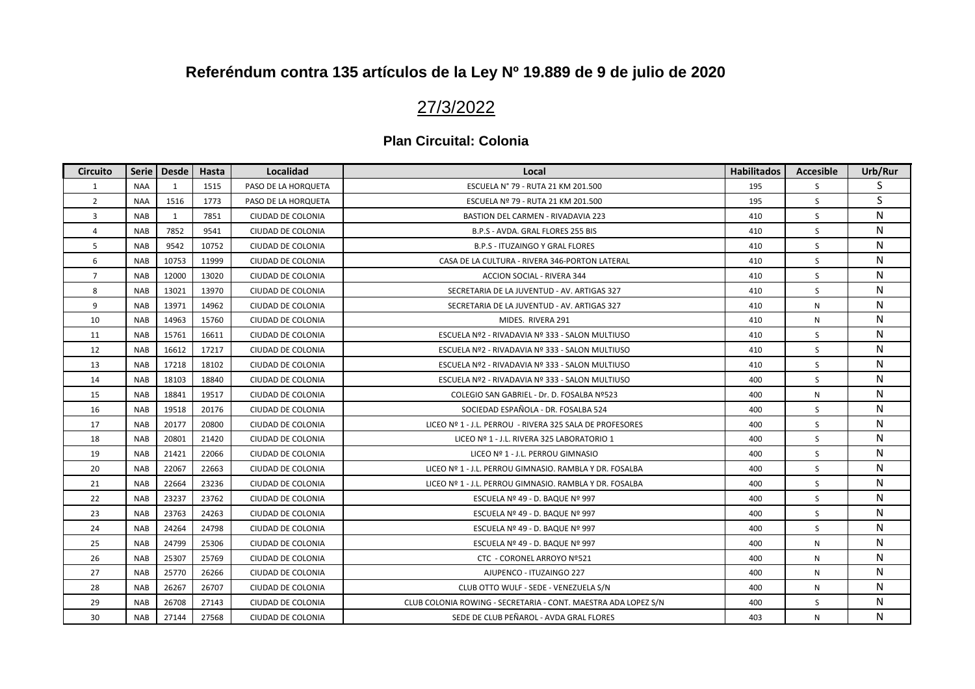## 27/3/2022

| <b>Circuito</b> | Serie      | <b>Desde</b> | Hasta | <b>Localidad</b>    | Local                                                          | <b>Habilitados</b> | <b>Accesible</b> | Urb/Rur |
|-----------------|------------|--------------|-------|---------------------|----------------------------------------------------------------|--------------------|------------------|---------|
| 1               | <b>NAA</b> | $\mathbf{1}$ | 1515  | PASO DE LA HORQUETA | ESCUELA Nº 79 - RUTA 21 KM 201.500                             | 195                | S                | S       |
| $\overline{2}$  | <b>NAA</b> | 1516         | 1773  | PASO DE LA HORQUETA | ESCUELA Nº 79 - RUTA 21 KM 201.500                             | 195                | S                | S       |
| 3               | <b>NAB</b> | $\mathbf{1}$ | 7851  | CIUDAD DE COLONIA   | <b>BASTION DEL CARMEN - RIVADAVIA 223</b>                      | 410                | S.               | N       |
| 4               | <b>NAB</b> | 7852         | 9541  | CIUDAD DE COLONIA   | B.P.S - AVDA. GRAL FLORES 255 BIS                              | 410                | <sub>S</sub>     | N       |
| 5               | <b>NAB</b> | 9542         | 10752 | CIUDAD DE COLONIA   | B.P.S - ITUZAINGO Y GRAL FLORES                                | 410                | S                | N       |
| 6               | <b>NAB</b> | 10753        | 11999 | CIUDAD DE COLONIA   | CASA DE LA CULTURA - RIVERA 346-PORTON LATERAL                 | 410                | S                | N       |
| $\overline{7}$  | <b>NAB</b> | 12000        | 13020 | CIUDAD DE COLONIA   | ACCION SOCIAL - RIVERA 344                                     | 410                | S                | N       |
| 8               | <b>NAB</b> | 13021        | 13970 | CIUDAD DE COLONIA   | SECRETARIA DE LA JUVENTUD - AV. ARTIGAS 327                    | 410                | S                | N       |
| 9               | <b>NAB</b> | 13971        | 14962 | CIUDAD DE COLONIA   | SECRETARIA DE LA JUVENTUD - AV. ARTIGAS 327                    | 410                | N                | N       |
| 10              | <b>NAB</b> | 14963        | 15760 | CIUDAD DE COLONIA   | MIDES. RIVERA 291                                              | 410                | N                | N       |
| 11              | <b>NAB</b> | 15761        | 16611 | CIUDAD DE COLONIA   | ESCUELA Nº2 - RIVADAVIA Nº 333 - SALON MULTIUSO                | 410                | S                | N       |
| 12              | <b>NAB</b> | 16612        | 17217 | CIUDAD DE COLONIA   | ESCUELA Nº2 - RIVADAVIA Nº 333 - SALON MULTIUSO                | 410                | S                | N       |
| 13              | <b>NAB</b> | 17218        | 18102 | CIUDAD DE COLONIA   | ESCUELA Nº2 - RIVADAVIA Nº 333 - SALON MULTIUSO                | 410                | S                | N       |
| 14              | <b>NAB</b> | 18103        | 18840 | CIUDAD DE COLONIA   | ESCUELA Nº2 - RIVADAVIA Nº 333 - SALON MULTIUSO                | 400                | S                | N       |
| 15              | <b>NAB</b> | 18841        | 19517 | CIUDAD DE COLONIA   | COLEGIO SAN GABRIEL - Dr. D. FOSALBA Nº523                     | 400                | N                | N       |
| 16              | <b>NAB</b> | 19518        | 20176 | CIUDAD DE COLONIA   | SOCIEDAD ESPAÑOLA - DR. FOSALBA 524                            | 400                | S.               | N       |
| 17              | <b>NAB</b> | 20177        | 20800 | CIUDAD DE COLONIA   | LICEO Nº 1 - J.L. PERROU - RIVERA 325 SALA DE PROFESORES       | 400                | S                | N       |
| 18              | <b>NAB</b> | 20801        | 21420 | CIUDAD DE COLONIA   | LICEO Nº 1 - J.L. RIVERA 325 LABORATORIO 1                     | 400                | S                | N       |
| 19              | <b>NAB</b> | 21421        | 22066 | CIUDAD DE COLONIA   | LICEO Nº 1 - J.L. PERROU GIMNASIO                              | 400                | S                | N       |
| 20              | <b>NAB</b> | 22067        | 22663 | CIUDAD DE COLONIA   | LICEO Nº 1 - J.L. PERROU GIMNASIO. RAMBLA Y DR. FOSALBA        | 400                | S                | N       |
| 21              | <b>NAB</b> | 22664        | 23236 | CIUDAD DE COLONIA   | LICEO Nº 1 - J.L. PERROU GIMNASIO. RAMBLA Y DR. FOSALBA        | 400                | S                | N       |
| 22              | <b>NAB</b> | 23237        | 23762 | CIUDAD DE COLONIA   | ESCUELA Nº 49 - D. BAQUE Nº 997                                | 400                | S                | N       |
| 23              | <b>NAB</b> | 23763        | 24263 | CIUDAD DE COLONIA   | ESCUELA Nº 49 - D. BAQUE Nº 997                                | 400                | S                | N       |
| 24              | <b>NAB</b> | 24264        | 24798 | CIUDAD DE COLONIA   | ESCUELA Nº 49 - D. BAQUE Nº 997                                | 400                | S                | N       |
| 25              | <b>NAB</b> | 24799        | 25306 | CIUDAD DE COLONIA   | ESCUELA Nº 49 - D. BAQUE Nº 997                                | 400                | N                | N       |
| 26              | <b>NAB</b> | 25307        | 25769 | CIUDAD DE COLONIA   | CTC - CORONEL ARROYO Nº521                                     | 400                | N                | N       |
| 27              | <b>NAB</b> | 25770        | 26266 | CIUDAD DE COLONIA   | AJUPENCO - ITUZAINGO 227                                       | 400                | N                | N       |
| 28              | <b>NAB</b> | 26267        | 26707 | CIUDAD DE COLONIA   | CLUB OTTO WULF - SEDE - VENEZUELA S/N                          | 400                | N                | N       |
| 29              | <b>NAB</b> | 26708        | 27143 | CIUDAD DE COLONIA   | CLUB COLONIA ROWING - SECRETARIA - CONT. MAESTRA ADA LOPEZ S/N | 400                | S                | N       |
| 30              | <b>NAB</b> | 27144        | 27568 | CIUDAD DE COLONIA   | SEDE DE CLUB PEÑAROL - AVDA GRAL FLORES                        | 403                | N                | N       |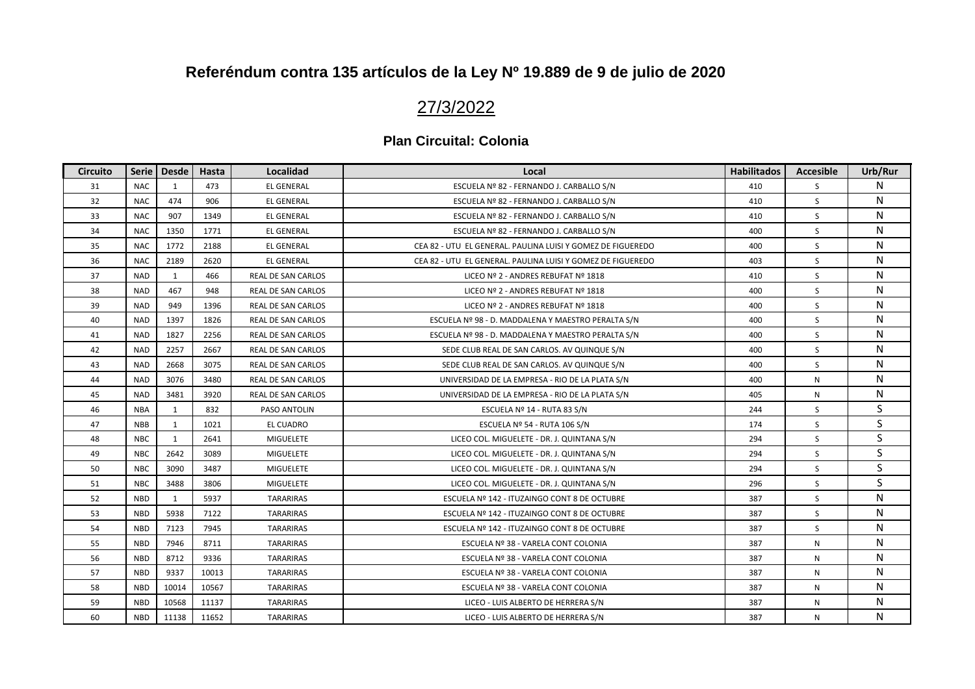## 27/3/2022

| <b>Circuito</b> | <b>Serie</b> | <b>Desde</b> | Hasta | Localidad                 | Local                                                       | <b>Habilitados</b> | <b>Accesible</b> | Urb/Rur |
|-----------------|--------------|--------------|-------|---------------------------|-------------------------------------------------------------|--------------------|------------------|---------|
| 31              | <b>NAC</b>   | 1            | 473   | <b>EL GENERAL</b>         | ESCUELA Nº 82 - FERNANDO J. CARBALLO S/N                    | 410                | S                | N       |
| 32              | <b>NAC</b>   | 474          | 906   | <b>EL GENERAL</b>         | ESCUELA Nº 82 - FERNANDO J. CARBALLO S/N                    | 410                | S                | N       |
| 33              | <b>NAC</b>   | 907          | 1349  | <b>EL GENERAL</b>         | ESCUELA Nº 82 - FERNANDO J. CARBALLO S/N                    | 410                | S                | N       |
| 34              | <b>NAC</b>   | 1350         | 1771  | <b>EL GENERAL</b>         | ESCUELA Nº 82 - FERNANDO J. CARBALLO S/N                    | 400                | <sub>S</sub>     | N       |
| 35              | <b>NAC</b>   | 1772         | 2188  | <b>EL GENERAL</b>         | CEA 82 - UTU EL GENERAL. PAULINA LUISI Y GOMEZ DE FIGUEREDO | 400                | S                | N       |
| 36              | <b>NAC</b>   | 2189         | 2620  | <b>EL GENERAL</b>         | CEA 82 - UTU EL GENERAL. PAULINA LUISI Y GOMEZ DE FIGUEREDO | 403                | S                | N       |
| 37              | <b>NAD</b>   | 1            | 466   | REAL DE SAN CARLOS        | LICEO Nº 2 - ANDRES REBUFAT Nº 1818                         | 410                | S                | N       |
| 38              | <b>NAD</b>   | 467          | 948   | <b>REAL DE SAN CARLOS</b> | LICEO Nº 2 - ANDRES REBUFAT Nº 1818                         | 400                | S                | N       |
| 39              | <b>NAD</b>   | 949          | 1396  | REAL DE SAN CARLOS        | LICEO Nº 2 - ANDRES REBUFAT Nº 1818                         | 400                | S                | N       |
| 40              | <b>NAD</b>   | 1397         | 1826  | REAL DE SAN CARLOS        | ESCUELA Nº 98 - D. MADDALENA Y MAESTRO PERALTA S/N          | 400                | S                | N       |
| 41              | <b>NAD</b>   | 1827         | 2256  | REAL DE SAN CARLOS        | ESCUELA Nº 98 - D. MADDALENA Y MAESTRO PERALTA S/N          | 400                | S                | N       |
| 42              | <b>NAD</b>   | 2257         | 2667  | REAL DE SAN CARLOS        | SEDE CLUB REAL DE SAN CARLOS. AV QUINQUE S/N                | 400                | S                | N       |
| 43              | <b>NAD</b>   | 2668         | 3075  | <b>REAL DE SAN CARLOS</b> | SEDE CLUB REAL DE SAN CARLOS. AV QUINQUE S/N                | 400                | S                | N       |
| 44              | <b>NAD</b>   | 3076         | 3480  | REAL DE SAN CARLOS        | UNIVERSIDAD DE LA EMPRESA - RIO DE LA PLATA S/N             | 400                | ${\sf N}$        | N       |
| 45              | <b>NAD</b>   | 3481         | 3920  | REAL DE SAN CARLOS        | UNIVERSIDAD DE LA EMPRESA - RIO DE LA PLATA S/N             | 405                | ${\sf N}$        | N       |
| 46              | <b>NBA</b>   | 1            | 832   | PASO ANTOLIN              | ESCUELA Nº 14 - RUTA 83 S/N                                 | 244                | S                | S       |
| 47              | <b>NBB</b>   | 1            | 1021  | EL CUADRO                 | ESCUELA Nº 54 - RUTA 106 S/N                                | 174                | S                | S       |
| 48              | <b>NBC</b>   | 1            | 2641  | <b>MIGUELETE</b>          | LICEO COL. MIGUELETE - DR. J. QUINTANA S/N                  | 294                | S                | S       |
| 49              | <b>NBC</b>   | 2642         | 3089  | <b>MIGUELETE</b>          | LICEO COL. MIGUELETE - DR. J. QUINTANA S/N                  | 294                | S                | S       |
| 50              | <b>NBC</b>   | 3090         | 3487  | <b>MIGUELETE</b>          | LICEO COL. MIGUELETE - DR. J. QUINTANA S/N                  | 294                | S                | S       |
| 51              | <b>NBC</b>   | 3488         | 3806  | MIGUELETE                 | LICEO COL. MIGUELETE - DR. J. QUINTANA S/N                  | 296                | S                | S       |
| 52              | <b>NBD</b>   | 1            | 5937  | <b>TARARIRAS</b>          | ESCUELA Nº 142 - ITUZAINGO CONT 8 DE OCTUBRE                | 387                | S                | N       |
| 53              | <b>NBD</b>   | 5938         | 7122  | <b>TARARIRAS</b>          | ESCUELA Nº 142 - ITUZAINGO CONT 8 DE OCTUBRE                | 387                | <sub>S</sub>     | N       |
| 54              | <b>NBD</b>   | 7123         | 7945  | TARARIRAS                 | ESCUELA Nº 142 - ITUZAINGO CONT 8 DE OCTUBRE                | 387                | S                | N       |
| 55              | <b>NBD</b>   | 7946         | 8711  | TARARIRAS                 | ESCUELA Nº 38 - VARELA CONT COLONIA                         | 387                | N                | N       |
| 56              | <b>NBD</b>   | 8712         | 9336  | TARARIRAS                 | ESCUELA Nº 38 - VARELA CONT COLONIA                         | 387                | N                | N       |
| 57              | <b>NBD</b>   | 9337         | 10013 | <b>TARARIRAS</b>          | ESCUELA Nº 38 - VARELA CONT COLONIA                         | 387                | ${\sf N}$        | N       |
| 58              | <b>NBD</b>   | 10014        | 10567 | <b>TARARIRAS</b>          | ESCUELA Nº 38 - VARELA CONT COLONIA                         | 387                | N                | N       |
| 59              | <b>NBD</b>   | 10568        | 11137 | TARARIRAS                 | LICEO - LUIS ALBERTO DE HERRERA S/N                         | 387                | N                | N       |
| 60              | <b>NBD</b>   | 11138        | 11652 | TARARIRAS                 | LICEO - LUIS ALBERTO DE HERRERA S/N                         | 387                | N                | N       |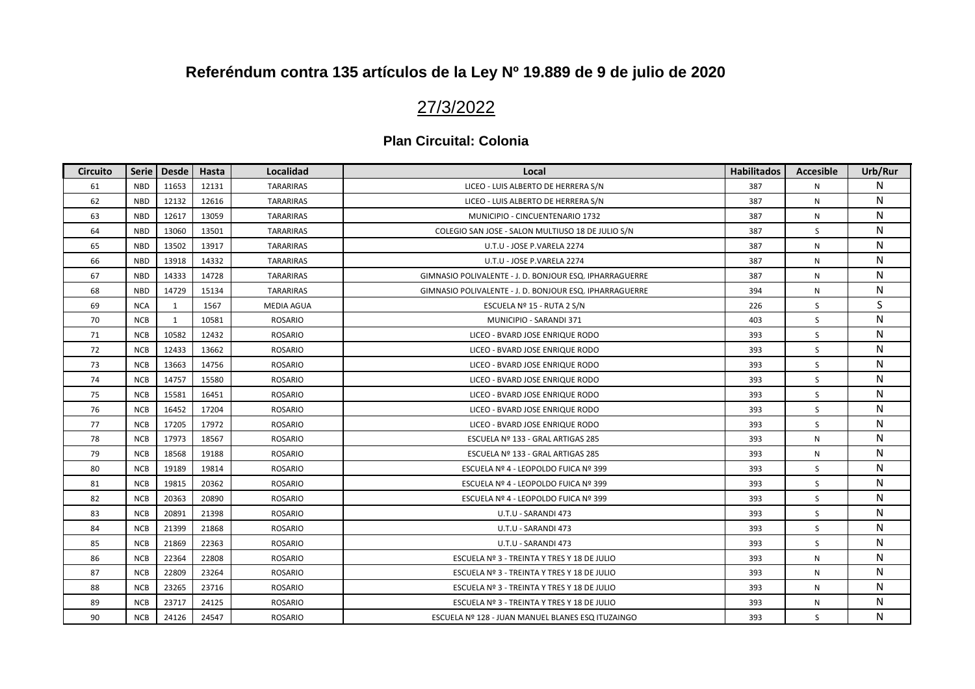## 27/3/2022

| Circuito | Serie      | <b>Desde</b> | Hasta | <b>Localidad</b>  | Local                                                   | <b>Habilitados</b> | <b>Accesible</b> | Urb/Rur |
|----------|------------|--------------|-------|-------------------|---------------------------------------------------------|--------------------|------------------|---------|
| 61       | <b>NBD</b> | 11653        | 12131 | <b>TARARIRAS</b>  | LICEO - LUIS ALBERTO DE HERRERA S/N                     | 387                | N                | N       |
| 62       | <b>NBD</b> | 12132        | 12616 | <b>TARARIRAS</b>  | LICEO - LUIS ALBERTO DE HERRERA S/N                     | 387                | N                | N       |
| 63       | <b>NBD</b> | 12617        | 13059 | <b>TARARIRAS</b>  | MUNICIPIO - CINCUENTENARIO 1732                         | 387                | N                | N       |
| 64       | <b>NBD</b> | 13060        | 13501 | <b>TARARIRAS</b>  | COLEGIO SAN JOSE - SALON MULTIUSO 18 DE JULIO S/N       | 387                | <sub>S</sub>     | N       |
| 65       | <b>NBD</b> | 13502        | 13917 | TARARIRAS         | U.T.U - JOSE P.VARELA 2274                              | 387                | N                | N       |
| 66       | <b>NBD</b> | 13918        | 14332 | <b>TARARIRAS</b>  | U.T.U - JOSE P.VARELA 2274                              | 387                | N                | N       |
| 67       | <b>NBD</b> | 14333        | 14728 | TARARIRAS         | GIMNASIO POLIVALENTE - J. D. BONJOUR ESQ. IPHARRAGUERRE | 387                | N                | N       |
| 68       | <b>NBD</b> | 14729        | 15134 | <b>TARARIRAS</b>  | GIMNASIO POLIVALENTE - J. D. BONJOUR ESQ. IPHARRAGUERRE | 394                | N                | N       |
| 69       | <b>NCA</b> | 1            | 1567  | <b>MEDIA AGUA</b> | ESCUELA Nº 15 - RUTA 2 S/N                              | 226                | S.               | S       |
| 70       | <b>NCB</b> | $\mathbf{1}$ | 10581 | <b>ROSARIO</b>    | MUNICIPIO - SARANDI 371                                 | 403                | S                | N       |
| 71       | <b>NCB</b> | 10582        | 12432 | <b>ROSARIO</b>    | LICEO - BVARD JOSE ENRIQUE RODO                         | 393                | S                | N       |
| 72       | <b>NCB</b> | 12433        | 13662 | <b>ROSARIO</b>    | LICEO - BVARD JOSE ENRIQUE RODO                         | 393                | S                | N       |
| 73       | <b>NCB</b> | 13663        | 14756 | <b>ROSARIO</b>    | LICEO - BVARD JOSE ENRIQUE RODO                         | 393                | S                | N       |
| 74       | <b>NCB</b> | 14757        | 15580 | <b>ROSARIO</b>    | LICEO - BVARD JOSE ENRIQUE RODO                         | 393                | S                | N       |
| 75       | <b>NCB</b> | 15581        | 16451 | <b>ROSARIO</b>    | LICEO - BVARD JOSE ENRIQUE RODO                         | 393                | S.               | N       |
| 76       | <b>NCB</b> | 16452        | 17204 | <b>ROSARIO</b>    | LICEO - BVARD JOSE ENRIQUE RODO                         | 393                | S                | N       |
| 77       | <b>NCB</b> | 17205        | 17972 | <b>ROSARIO</b>    | LICEO - BVARD JOSE ENRIQUE RODO                         | 393                | S                | N       |
| 78       | <b>NCB</b> | 17973        | 18567 | <b>ROSARIO</b>    | ESCUELA Nº 133 - GRAL ARTIGAS 285                       | 393                | N                | N       |
| 79       | <b>NCB</b> | 18568        | 19188 | <b>ROSARIO</b>    | ESCUELA Nº 133 - GRAL ARTIGAS 285                       | 393                | N                | N       |
| 80       | <b>NCB</b> | 19189        | 19814 | <b>ROSARIO</b>    | ESCUELA Nº 4 - LEOPOLDO FUICA Nº 399                    | 393                | S.               | N       |
| 81       | <b>NCB</b> | 19815        | 20362 | <b>ROSARIO</b>    | ESCUELA Nº 4 - LEOPOLDO FUICA Nº 399                    | 393                | S.               | N       |
| 82       | <b>NCB</b> | 20363        | 20890 | <b>ROSARIO</b>    | ESCUELA Nº 4 - LEOPOLDO FUICA Nº 399                    | 393                | S                | N       |
| 83       | <b>NCB</b> | 20891        | 21398 | <b>ROSARIO</b>    | U.T.U - SARANDI 473                                     | 393                | S                | N       |
| 84       | <b>NCB</b> | 21399        | 21868 | <b>ROSARIO</b>    | U.T.U - SARANDI 473                                     | 393                | S                | N       |
| 85       | <b>NCB</b> | 21869        | 22363 | <b>ROSARIO</b>    | U.T.U - SARANDI 473                                     | 393                | S                | N       |
| 86       | <b>NCB</b> | 22364        | 22808 | <b>ROSARIO</b>    | ESCUELA Nº 3 - TREINTA Y TRES Y 18 DE JULIO             | 393                | N                | N       |
| 87       | <b>NCB</b> | 22809        | 23264 | <b>ROSARIO</b>    | ESCUELA Nº 3 - TREINTA Y TRES Y 18 DE JULIO             | 393                | N                | N       |
| 88       | <b>NCB</b> | 23265        | 23716 | <b>ROSARIO</b>    | ESCUELA Nº 3 - TREINTA Y TRES Y 18 DE JULIO             | 393                | N                | N       |
| 89       | <b>NCB</b> | 23717        | 24125 | <b>ROSARIO</b>    | ESCUELA Nº 3 - TREINTA Y TRES Y 18 DE JULIO             | 393                | N                | N       |
| 90       | <b>NCB</b> | 24126        | 24547 | <b>ROSARIO</b>    | ESCUELA Nº 128 - JUAN MANUEL BLANES ESQ ITUZAINGO       | 393                | S                | N       |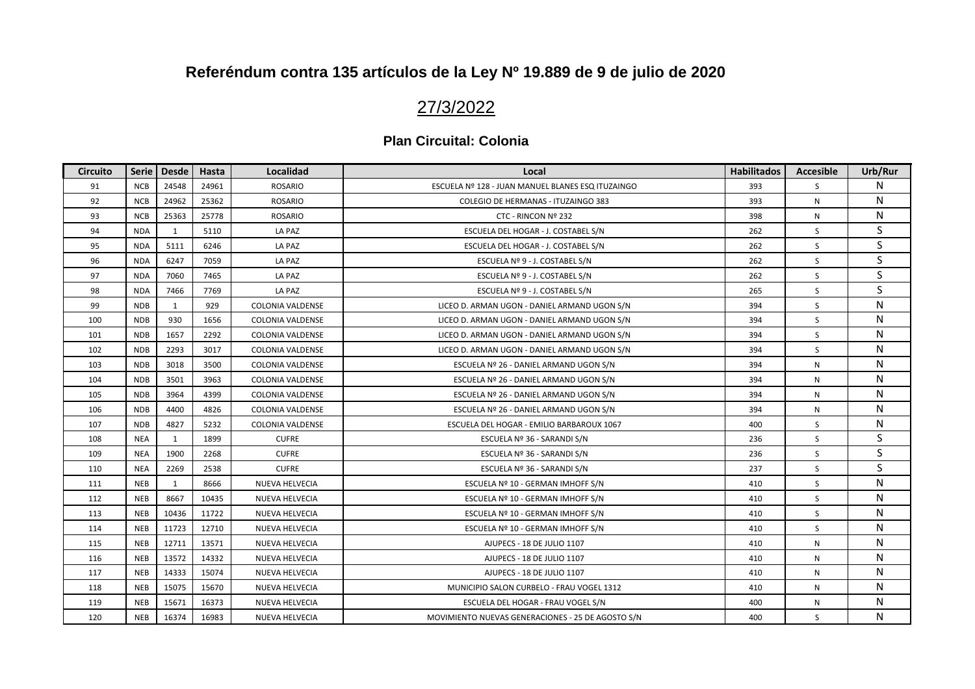## 27/3/2022

| <b>Circuito</b> | Serie      | <b>Desde</b> | Hasta | Localidad               | Local                                             | <b>Habilitados</b> | <b>Accesible</b> | Urb/Rur |
|-----------------|------------|--------------|-------|-------------------------|---------------------------------------------------|--------------------|------------------|---------|
| 91              | <b>NCB</b> | 24548        | 24961 | <b>ROSARIO</b>          | ESCUELA Nº 128 - JUAN MANUEL BLANES ESQ ITUZAINGO | 393                | S                | N       |
| 92              | <b>NCB</b> | 24962        | 25362 | <b>ROSARIO</b>          | COLEGIO DE HERMANAS - ITUZAINGO 383               | 393                | N                | N       |
| 93              | <b>NCB</b> | 25363        | 25778 | <b>ROSARIO</b>          | CTC - RINCON Nº 232                               | 398                | N                | N       |
| 94              | <b>NDA</b> | 1            | 5110  | LA PAZ                  | ESCUELA DEL HOGAR - J. COSTABEL S/N               | 262                | <sub>S</sub>     | S       |
| 95              | <b>NDA</b> | 5111         | 6246  | LA PAZ                  | ESCUELA DEL HOGAR - J. COSTABEL S/N               | 262                | S                | S       |
| 96              | <b>NDA</b> | 6247         | 7059  | LA PAZ                  | ESCUELA Nº 9 - J. COSTABEL S/N                    | 262                | S                | S       |
| 97              | <b>NDA</b> | 7060         | 7465  | LA PAZ                  | ESCUELA Nº 9 - J. COSTABEL S/N                    | 262                | S                | S       |
| 98              | <b>NDA</b> | 7466         | 7769  | LA PAZ                  | ESCUELA Nº 9 - J. COSTABEL S/N                    | 265                | S                | S       |
| 99              | <b>NDB</b> | 1            | 929   | <b>COLONIA VALDENSE</b> | LICEO D. ARMAN UGON - DANIEL ARMAND UGON S/N      | 394                | S                | N       |
| 100             | <b>NDB</b> | 930          | 1656  | <b>COLONIA VALDENSE</b> | LICEO D. ARMAN UGON - DANIEL ARMAND UGON S/N      | 394                | S                | N       |
| 101             | <b>NDB</b> | 1657         | 2292  | <b>COLONIA VALDENSE</b> | LICEO D. ARMAN UGON - DANIEL ARMAND UGON S/N      | 394                | S                | N       |
| 102             | <b>NDB</b> | 2293         | 3017  | <b>COLONIA VALDENSE</b> | LICEO D. ARMAN UGON - DANIEL ARMAND UGON S/N      | 394                | S                | N       |
| 103             | <b>NDB</b> | 3018         | 3500  | <b>COLONIA VALDENSE</b> | ESCUELA Nº 26 - DANIEL ARMAND UGON S/N            | 394                | N                | N       |
| 104             | <b>NDB</b> | 3501         | 3963  | <b>COLONIA VALDENSE</b> | ESCUELA Nº 26 - DANIEL ARMAND UGON S/N            | 394                | N                | N       |
| 105             | <b>NDB</b> | 3964         | 4399  | <b>COLONIA VALDENSE</b> | ESCUELA Nº 26 - DANIEL ARMAND UGON S/N            | 394                | N                | N       |
| 106             | <b>NDB</b> | 4400         | 4826  | <b>COLONIA VALDENSE</b> | ESCUELA Nº 26 - DANIEL ARMAND UGON S/N            | 394                | N                | N       |
| 107             | <b>NDB</b> | 4827         | 5232  | COLONIA VALDENSE        | ESCUELA DEL HOGAR - EMILIO BARBAROUX 1067         | 400                | S                | N       |
| 108             | <b>NEA</b> | 1            | 1899  | <b>CUFRE</b>            | ESCUELA Nº 36 - SARANDI S/N                       | 236                | S                | S       |
| 109             | <b>NEA</b> | 1900         | 2268  | <b>CUFRE</b>            | ESCUELA Nº 36 - SARANDI S/N                       | 236                | S                | S       |
| 110             | <b>NEA</b> | 2269         | 2538  | <b>CUFRE</b>            | ESCUELA Nº 36 - SARANDI S/N                       | 237                | S                | S       |
| 111             | <b>NEB</b> | 1            | 8666  | NUEVA HELVECIA          | ESCUELA Nº 10 - GERMAN IMHOFF S/N                 | 410                | S                | N       |
| 112             | <b>NEB</b> | 8667         | 10435 | NUEVA HELVECIA          | ESCUELA Nº 10 - GERMAN IMHOFF S/N                 | 410                | S                | N       |
| 113             | <b>NEB</b> | 10436        | 11722 | NUEVA HELVECIA          | ESCUELA Nº 10 - GERMAN IMHOFF S/N                 | 410                | S                | N       |
| 114             | <b>NEB</b> | 11723        | 12710 | NUEVA HELVECIA          | ESCUELA Nº 10 - GERMAN IMHOFF S/N                 | 410                | S                | N       |
| 115             | <b>NEB</b> | 12711        | 13571 | NUEVA HELVECIA          | AJUPECS - 18 DE JULIO 1107                        | 410                | N                | N       |
| 116             | <b>NEB</b> | 13572        | 14332 | NUEVA HELVECIA          | AJUPECS - 18 DE JULIO 1107                        | 410                | N                | N       |
| 117             | <b>NEB</b> | 14333        | 15074 | NUEVA HELVECIA          | AJUPECS - 18 DE JULIO 1107                        | 410                | N                | N       |
| 118             | <b>NEB</b> | 15075        | 15670 | NUEVA HELVECIA          | MUNICIPIO SALON CURBELO - FRAU VOGEL 1312         | 410                | N                | N       |
| 119             | <b>NEB</b> | 15671        | 16373 | NUEVA HELVECIA          | ESCUELA DEL HOGAR - FRAU VOGEL S/N                | 400                | N                | N       |
| 120             | <b>NEB</b> | 16374        | 16983 | NUEVA HELVECIA          | MOVIMIENTO NUEVAS GENERACIONES - 25 DE AGOSTO S/N | 400                | S                | N       |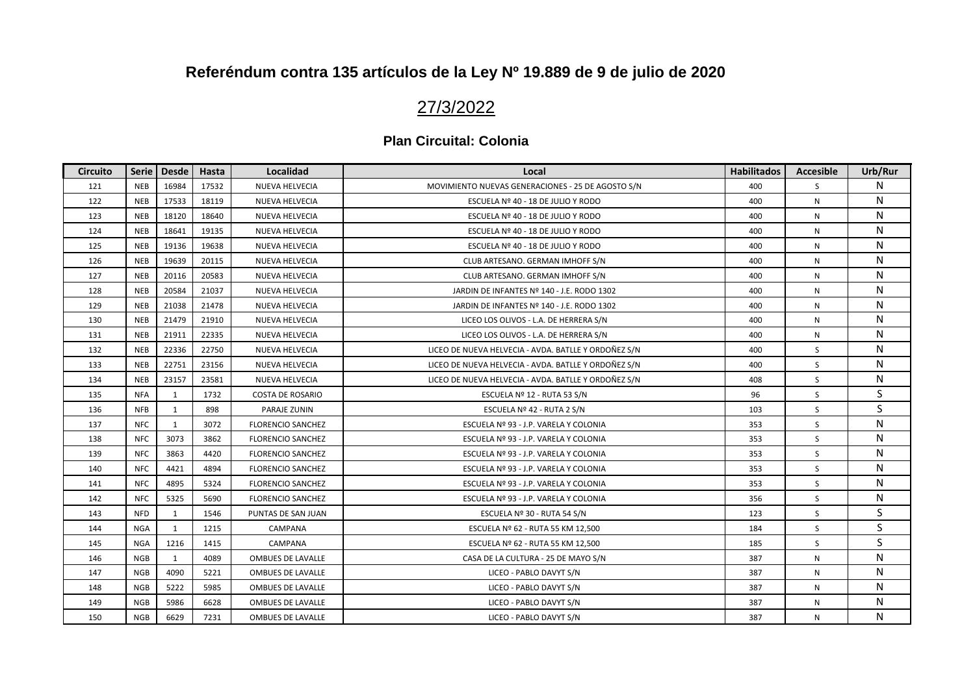## 27/3/2022

| <b>Circuito</b> | <b>Serie</b> | <b>Desde</b> | Hasta | Localidad                | Local                                                | <b>Habilitados</b> | <b>Accesible</b> | Urb/Rur |
|-----------------|--------------|--------------|-------|--------------------------|------------------------------------------------------|--------------------|------------------|---------|
| 121             | <b>NEB</b>   | 16984        | 17532 | NUEVA HELVECIA           | MOVIMIENTO NUEVAS GENERACIONES - 25 DE AGOSTO S/N    | 400                | <sub>S</sub>     | N       |
| 122             | <b>NEB</b>   | 17533        | 18119 | NUEVA HELVECIA           | ESCUELA Nº 40 - 18 DE JULIO Y RODO                   | 400                | N                | N       |
| 123             | <b>NEB</b>   | 18120        | 18640 | NUEVA HELVECIA           | ESCUELA Nº 40 - 18 DE JULIO Y RODO                   | 400                | N                | N       |
| 124             | <b>NEB</b>   | 18641        | 19135 | NUEVA HELVECIA           | ESCUELA Nº 40 - 18 DE JULIO Y RODO                   | 400                | N                | N       |
| 125             | <b>NEB</b>   | 19136        | 19638 | NUEVA HELVECIA           | ESCUELA Nº 40 - 18 DE JULIO Y RODO                   | 400                | N                | N       |
| 126             | <b>NEB</b>   | 19639        | 20115 | NUEVA HELVECIA           | CLUB ARTESANO. GERMAN IMHOFF S/N                     | 400                | N                | N       |
| 127             | <b>NEB</b>   | 20116        | 20583 | NUEVA HELVECIA           | CLUB ARTESANO. GERMAN IMHOFF S/N                     | 400                | N                | N       |
| 128             | <b>NEB</b>   | 20584        | 21037 | NUEVA HELVECIA           | JARDIN DE INFANTES Nº 140 - J.E. RODO 1302           | 400                | N                | N       |
| 129             | <b>NEB</b>   | 21038        | 21478 | NUEVA HELVECIA           | JARDIN DE INFANTES Nº 140 - J.E. RODO 1302           | 400                | N                | N       |
| 130             | <b>NEB</b>   | 21479        | 21910 | NUEVA HELVECIA           | LICEO LOS OLIVOS - L.A. DE HERRERA S/N               | 400                | N                | N       |
| 131             | <b>NEB</b>   | 21911        | 22335 | <b>NUEVA HELVECIA</b>    | LICEO LOS OLIVOS - L.A. DE HERRERA S/N               | 400                | N                | N       |
| 132             | <b>NEB</b>   | 22336        | 22750 | NUEVA HELVECIA           | LICEO DE NUEVA HELVECIA - AVDA. BATLLE Y ORDOÑEZ S/N | 400                | S                | N       |
| 133             | <b>NEB</b>   | 22751        | 23156 | NUEVA HELVECIA           | LICEO DE NUEVA HELVECIA - AVDA. BATLLE Y ORDOÑEZ S/N | 400                | S                | N       |
| 134             | <b>NEB</b>   | 23157        | 23581 | NUEVA HELVECIA           | LICEO DE NUEVA HELVECIA - AVDA. BATLLE Y ORDOÑEZ S/N | 408                | S                | N       |
| 135             | <b>NFA</b>   | $\mathbf{1}$ | 1732  | <b>COSTA DE ROSARIO</b>  | ESCUELA Nº 12 - RUTA 53 S/N                          | 96                 | S                | S       |
| 136             | <b>NFB</b>   | 1            | 898   | PARAJE ZUNIN             | ESCUELA Nº 42 - RUTA 2 S/N                           | 103                | S                | S       |
| 137             | <b>NFC</b>   | $\mathbf{1}$ | 3072  | <b>FLORENCIO SANCHEZ</b> | ESCUELA Nº 93 - J.P. VARELA Y COLONIA                | 353                | S                | N       |
| 138             | <b>NFC</b>   | 3073         | 3862  | <b>FLORENCIO SANCHEZ</b> | ESCUELA Nº 93 - J.P. VARELA Y COLONIA                | 353                | S                | N       |
| 139             | <b>NFC</b>   | 3863         | 4420  | <b>FLORENCIO SANCHEZ</b> | ESCUELA Nº 93 - J.P. VARELA Y COLONIA                | 353                | S                | N       |
| 140             | <b>NFC</b>   | 4421         | 4894  | <b>FLORENCIO SANCHEZ</b> | ESCUELA Nº 93 - J.P. VARELA Y COLONIA                | 353                | S                | N       |
| 141             | <b>NFC</b>   | 4895         | 5324  | <b>FLORENCIO SANCHEZ</b> | ESCUELA Nº 93 - J.P. VARELA Y COLONIA                | 353                | S                | N       |
| 142             | <b>NFC</b>   | 5325         | 5690  | <b>FLORENCIO SANCHEZ</b> | ESCUELA Nº 93 - J.P. VARELA Y COLONIA                | 356                | S                | N       |
| 143             | <b>NFD</b>   | 1            | 1546  | PUNTAS DE SAN JUAN       | ESCUELA Nº 30 - RUTA 54 S/N                          | 123                | S                | S       |
| 144             | <b>NGA</b>   | 1            | 1215  | CAMPANA                  | ESCUELA Nº 62 - RUTA 55 KM 12,500                    | 184                | S                | S       |
| 145             | <b>NGA</b>   | 1216         | 1415  | CAMPANA                  | ESCUELA Nº 62 - RUTA 55 KM 12,500                    | 185                | S                | S       |
| 146             | <b>NGB</b>   | $\mathbf{1}$ | 4089  | OMBUES DE LAVALLE        | CASA DE LA CULTURA - 25 DE MAYO S/N                  | 387                | N                | N       |
| 147             | <b>NGB</b>   | 4090         | 5221  | <b>OMBUES DE LAVALLE</b> | LICEO - PABLO DAVYT S/N                              | 387                | N                | N       |
| 148             | <b>NGB</b>   | 5222         | 5985  | OMBUES DE LAVALLE        | LICEO - PABLO DAVYT S/N                              | 387                | N                | N       |
| 149             | <b>NGB</b>   | 5986         | 6628  | OMBUES DE LAVALLE        | LICEO - PABLO DAVYT S/N                              | 387                | N                | N       |
| 150             | <b>NGB</b>   | 6629         | 7231  | OMBUES DE LAVALLE        | LICEO - PABLO DAVYT S/N                              | 387                | N                | N       |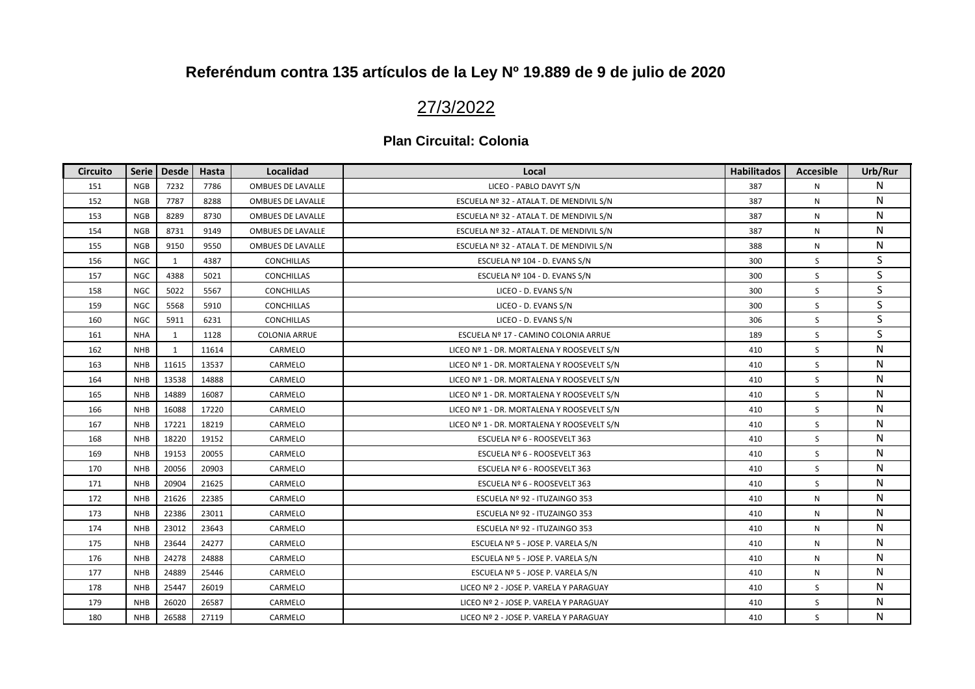# 27/3/2022

| <b>Circuito</b> | <b>Serie</b> | <b>Desde</b> | Hasta | Localidad                | Local                                      | <b>Habilitados</b> | <b>Accesible</b> | Urb/Rur |
|-----------------|--------------|--------------|-------|--------------------------|--------------------------------------------|--------------------|------------------|---------|
| 151             | <b>NGB</b>   | 7232         | 7786  | <b>OMBUES DE LAVALLE</b> | LICEO - PABLO DAVYT S/N                    | 387                | N                | N       |
| 152             | <b>NGB</b>   | 7787         | 8288  | OMBUES DE LAVALLE        | ESCUELA Nº 32 - ATALA T. DE MENDIVIL S/N   | 387                | N                | N       |
| 153             | <b>NGB</b>   | 8289         | 8730  | <b>OMBUES DE LAVALLE</b> | ESCUELA Nº 32 - ATALA T. DE MENDIVIL S/N   | 387                | $\mathsf{N}$     | N       |
| 154             | <b>NGB</b>   | 8731         | 9149  | <b>OMBUES DE LAVALLE</b> | ESCUELA Nº 32 - ATALA T. DE MENDIVIL S/N   | 387                | N                | N       |
| 155             | <b>NGB</b>   | 9150         | 9550  | OMBUES DE LAVALLE        | ESCUELA Nº 32 - ATALA T. DE MENDIVIL S/N   | 388                | N                | N       |
| 156             | <b>NGC</b>   | $\mathbf{1}$ | 4387  | <b>CONCHILLAS</b>        | ESCUELA Nº 104 - D. EVANS S/N              | 300                | S                | S.      |
| 157             | <b>NGC</b>   | 4388         | 5021  | <b>CONCHILLAS</b>        | ESCUELA Nº 104 - D. EVANS S/N              | 300                | S                | S       |
| 158             | <b>NGC</b>   | 5022         | 5567  | <b>CONCHILLAS</b>        | LICEO - D. EVANS S/N                       | 300                | S                | S.      |
| 159             | <b>NGC</b>   | 5568         | 5910  | <b>CONCHILLAS</b>        | LICEO - D. EVANS S/N                       | 300                | S                | S       |
| 160             | <b>NGC</b>   | 5911         | 6231  | <b>CONCHILLAS</b>        | LICEO - D. EVANS S/N                       | 306                | S                | S       |
| 161             | <b>NHA</b>   | 1            | 1128  | COLONIA ARRUE            | ESCUELA Nº 17 - CAMINO COLONIA ARRUE       | 189                | S                | S       |
| 162             | <b>NHB</b>   | 1            | 11614 | CARMELO                  | LICEO Nº 1 - DR. MORTALENA Y ROOSEVELT S/N | 410                | S                | N       |
| 163             | <b>NHB</b>   | 11615        | 13537 | CARMELO                  | LICEO Nº 1 - DR. MORTALENA Y ROOSEVELT S/N | 410                | S                | N       |
| 164             | <b>NHB</b>   | 13538        | 14888 | CARMELO                  | LICEO Nº 1 - DR. MORTALENA Y ROOSEVELT S/N | 410                | S                | N       |
| 165             | <b>NHB</b>   | 14889        | 16087 | CARMELO                  | LICEO Nº 1 - DR. MORTALENA Y ROOSEVELT S/N | 410                | S                | N       |
| 166             | <b>NHB</b>   | 16088        | 17220 | CARMELO                  | LICEO Nº 1 - DR. MORTALENA Y ROOSEVELT S/N | 410                | S                | N       |
| 167             | <b>NHB</b>   | 17221        | 18219 | CARMELO                  | LICEO Nº 1 - DR. MORTALENA Y ROOSEVELT S/N | 410                | S                | N       |
| 168             | <b>NHB</b>   | 18220        | 19152 | CARMELO                  | ESCUELA Nº 6 - ROOSEVELT 363               | 410                | S                | N       |
| 169             | <b>NHB</b>   | 19153        | 20055 | CARMELO                  | ESCUELA Nº 6 - ROOSEVELT 363               | 410                | S                | N       |
| 170             | <b>NHB</b>   | 20056        | 20903 | CARMELO                  | ESCUELA Nº 6 - ROOSEVELT 363               | 410                | S                | N       |
| 171             | <b>NHB</b>   | 20904        | 21625 | CARMELO                  | ESCUELA Nº 6 - ROOSEVELT 363               | 410                | S                | N       |
| 172             | <b>NHB</b>   | 21626        | 22385 | CARMELO                  | ESCUELA Nº 92 - ITUZAINGO 353              | 410                | N                | N       |
| 173             | <b>NHB</b>   | 22386        | 23011 | CARMELO                  | ESCUELA Nº 92 - ITUZAINGO 353              | 410                | $\mathsf{N}$     | N       |
| 174             | <b>NHB</b>   | 23012        | 23643 | CARMELO                  | ESCUELA Nº 92 - ITUZAINGO 353              | 410                | N                | N       |
| 175             | <b>NHB</b>   | 23644        | 24277 | CARMELO                  | ESCUELA Nº 5 - JOSE P. VARELA S/N          | 410                | N                | N       |
| 176             | <b>NHB</b>   | 24278        | 24888 | CARMELO                  | ESCUELA Nº 5 - JOSE P. VARELA S/N          | 410                | N                | N       |
| 177             | <b>NHB</b>   | 24889        | 25446 | CARMELO                  | ESCUELA Nº 5 - JOSE P. VARELA S/N          | 410                | ${\sf N}$        | N       |
| 178             | <b>NHB</b>   | 25447        | 26019 | CARMELO                  | LICEO Nº 2 - JOSE P. VARELA Y PARAGUAY     | 410                | S                | N       |
| 179             | <b>NHB</b>   | 26020        | 26587 | CARMELO                  | LICEO Nº 2 - JOSE P. VARELA Y PARAGUAY     | 410                | S                | N       |
| 180             | <b>NHB</b>   | 26588        | 27119 | CARMELO                  | LICEO Nº 2 - JOSE P. VARELA Y PARAGUAY     | 410                | S                | N       |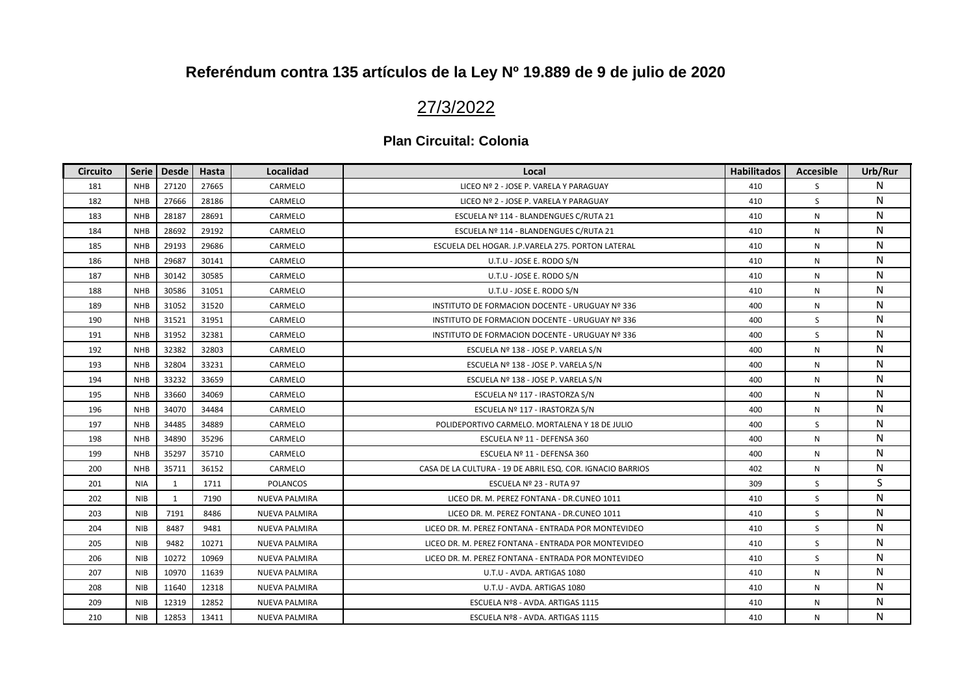## 27/3/2022

| <b>Circuito</b> | <b>Serie</b> | <b>Desde</b> | Hasta | Localidad            | Local                                                      | <b>Habilitados</b> | <b>Accesible</b> | Urb/Rur |
|-----------------|--------------|--------------|-------|----------------------|------------------------------------------------------------|--------------------|------------------|---------|
| 181             | <b>NHB</b>   | 27120        | 27665 | CARMELO              | LICEO Nº 2 - JOSE P. VARELA Y PARAGUAY                     | 410                | <sub>S</sub>     | N       |
| 182             | <b>NHB</b>   | 27666        | 28186 | CARMELO              | LICEO Nº 2 - JOSE P. VARELA Y PARAGUAY                     | 410                | S                | N       |
| 183             | <b>NHB</b>   | 28187        | 28691 | CARMELO              | ESCUELA Nº 114 - BLANDENGUES C/RUTA 21                     | 410                | N                | N       |
| 184             | <b>NHB</b>   | 28692        | 29192 | CARMELO              | ESCUELA Nº 114 - BLANDENGUES C/RUTA 21                     | 410                | N                | N       |
| 185             | <b>NHB</b>   | 29193        | 29686 | CARMELO              | ESCUELA DEL HOGAR. J.P.VARELA 275. PORTON LATERAL          | 410                | N                | N       |
| 186             | <b>NHB</b>   | 29687        | 30141 | CARMELO              | U.T.U - JOSE E. RODO S/N                                   | 410                | N                | N       |
| 187             | <b>NHB</b>   | 30142        | 30585 | CARMELO              | U.T.U - JOSE E. RODO S/N                                   | 410                | N                | N       |
| 188             | <b>NHB</b>   | 30586        | 31051 | CARMELO              | U.T.U - JOSE E. RODO S/N                                   | 410                | N                | N       |
| 189             | <b>NHB</b>   | 31052        | 31520 | CARMELO              | INSTITUTO DE FORMACION DOCENTE - URUGUAY Nº 336            | 400                | N                | N       |
| 190             | <b>NHB</b>   | 31521        | 31951 | CARMELO              | INSTITUTO DE FORMACION DOCENTE - URUGUAY Nº 336            | 400                | S.               | N       |
| 191             | <b>NHB</b>   | 31952        | 32381 | CARMELO              | INSTITUTO DE FORMACION DOCENTE - URUGUAY Nº 336            | 400                | S                | N       |
| 192             | <b>NHB</b>   | 32382        | 32803 | CARMELO              | ESCUELA Nº 138 - JOSE P. VARELA S/N                        | 400                | N                | N       |
| 193             | <b>NHB</b>   | 32804        | 33231 | CARMELO              | ESCUELA Nº 138 - JOSE P. VARELA S/N                        | 400                | N                | N       |
| 194             | <b>NHB</b>   | 33232        | 33659 | CARMELO              | ESCUELA Nº 138 - JOSE P. VARELA S/N                        | 400                | N                | N       |
| 195             | <b>NHB</b>   | 33660        | 34069 | CARMELO              | ESCUELA Nº 117 - IRASTORZA S/N                             | 400                | N                | N       |
| 196             | <b>NHB</b>   | 34070        | 34484 | CARMELO              | ESCUELA Nº 117 - IRASTORZA S/N                             | 400                | N                | N       |
| 197             | <b>NHB</b>   | 34485        | 34889 | CARMELO              | POLIDEPORTIVO CARMELO. MORTALENA Y 18 DE JULIO             | 400                | S                | N       |
| 198             | <b>NHB</b>   | 34890        | 35296 | CARMELO              | ESCUELA Nº 11 - DEFENSA 360                                | 400                | N                | N       |
| 199             | <b>NHB</b>   | 35297        | 35710 | CARMELO              | ESCUELA Nº 11 - DEFENSA 360                                | 400                | N                | N       |
| 200             | <b>NHB</b>   | 35711        | 36152 | CARMELO              | CASA DE LA CULTURA - 19 DE ABRIL ESQ. COR. IGNACIO BARRIOS | 402                | N                | N       |
| 201             | <b>NIA</b>   | 1            | 1711  | <b>POLANCOS</b>      | ESCUELA Nº 23 - RUTA 97                                    | 309                | S.               | S       |
| 202             | <b>NIB</b>   | $\mathbf{1}$ | 7190  | <b>NUEVA PALMIRA</b> | LICEO DR. M. PEREZ FONTANA - DR.CUNEO 1011                 | 410                | S                | N       |
| 203             | <b>NIB</b>   | 7191         | 8486  | NUEVA PALMIRA        | LICEO DR. M. PEREZ FONTANA - DR.CUNEO 1011                 | 410                | S                | N       |
| 204             | <b>NIB</b>   | 8487         | 9481  | NUEVA PALMIRA        | LICEO DR. M. PEREZ FONTANA - ENTRADA POR MONTEVIDEO        | 410                | S                | N       |
| 205             | <b>NIB</b>   | 9482         | 10271 | <b>NUEVA PALMIRA</b> | LICEO DR. M. PEREZ FONTANA - ENTRADA POR MONTEVIDEO        | 410                | S                | N       |
| 206             | <b>NIB</b>   | 10272        | 10969 | NUEVA PALMIRA        | LICEO DR. M. PEREZ FONTANA - ENTRADA POR MONTEVIDEO        | 410                | S                | N       |
| 207             | <b>NIB</b>   | 10970        | 11639 | <b>NUEVA PALMIRA</b> | U.T.U - AVDA. ARTIGAS 1080                                 | 410                | N                | N       |
| 208             | <b>NIB</b>   | 11640        | 12318 | NUEVA PALMIRA        | U.T.U - AVDA. ARTIGAS 1080                                 | 410                | N                | N       |
| 209             | <b>NIB</b>   | 12319        | 12852 | NUEVA PALMIRA        | ESCUELA Nº8 - AVDA. ARTIGAS 1115                           | 410                | N                | N       |
| 210             | <b>NIB</b>   | 12853        | 13411 | <b>NUEVA PALMIRA</b> | ESCUELA Nº8 - AVDA. ARTIGAS 1115                           | 410                | N                | N       |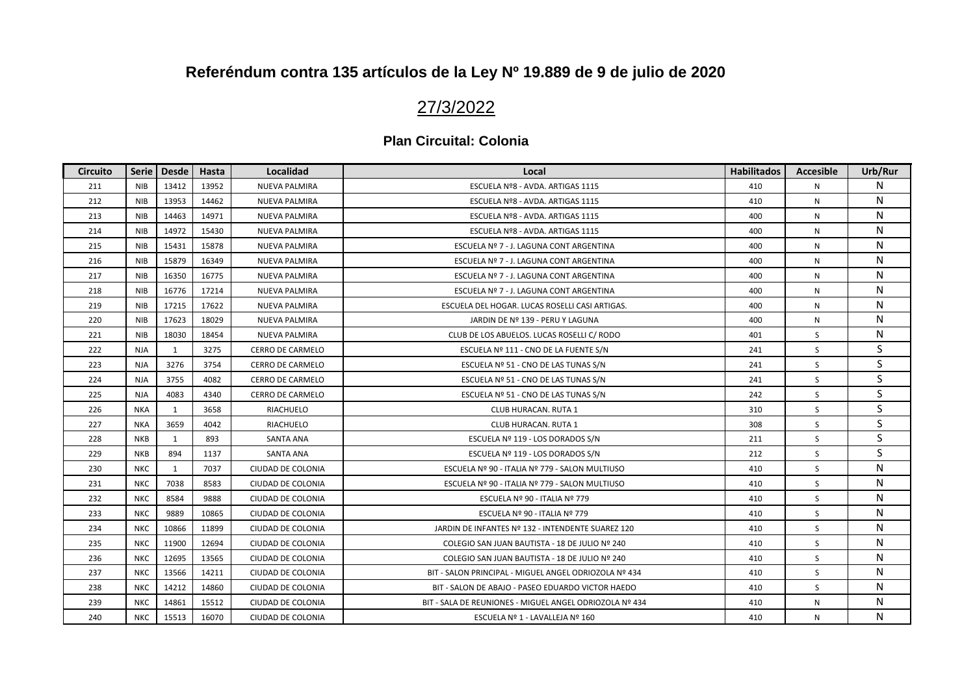## 27/3/2022

| <b>Circuito</b> | <b>Serie</b> | <b>Desde</b> | Hasta | Localidad               | Local                                                   | <b>Habilitados</b> | <b>Accesible</b> | Urb/Rur |
|-----------------|--------------|--------------|-------|-------------------------|---------------------------------------------------------|--------------------|------------------|---------|
| 211             | <b>NIB</b>   | 13412        | 13952 | <b>NUEVA PALMIRA</b>    | ESCUELA Nº8 - AVDA. ARTIGAS 1115                        | 410                | N                | N       |
| 212             | <b>NIB</b>   | 13953        | 14462 | NUEVA PALMIRA           | ESCUELA Nº8 - AVDA. ARTIGAS 1115                        | 410                | N                | N       |
| 213             | <b>NIB</b>   | 14463        | 14971 | <b>NUEVA PALMIRA</b>    | ESCUELA Nº8 - AVDA. ARTIGAS 1115                        | 400                | N                | N       |
| 214             | <b>NIB</b>   | 14972        | 15430 | <b>NUEVA PALMIRA</b>    | ESCUELA Nº8 - AVDA. ARTIGAS 1115                        | 400                | N                | N       |
| 215             | <b>NIB</b>   | 15431        | 15878 | <b>NUEVA PALMIRA</b>    | ESCUELA Nº 7 - J. LAGUNA CONT ARGENTINA                 | 400                | N                | N       |
| 216             | <b>NIB</b>   | 15879        | 16349 | <b>NUEVA PALMIRA</b>    | ESCUELA Nº 7 - J. LAGUNA CONT ARGENTINA                 | 400                | N                | N       |
| 217             | <b>NIB</b>   | 16350        | 16775 | NUEVA PALMIRA           | ESCUELA Nº 7 - J. LAGUNA CONT ARGENTINA                 | 400                | N                | N       |
| 218             | <b>NIB</b>   | 16776        | 17214 | <b>NUEVA PALMIRA</b>    | ESCUELA Nº 7 - J. LAGUNA CONT ARGENTINA                 | 400                | N                | N       |
| 219             | <b>NIB</b>   | 17215        | 17622 | <b>NUEVA PALMIRA</b>    | ESCUELA DEL HOGAR. LUCAS ROSELLI CASI ARTIGAS.          | 400                | N                | N       |
| 220             | <b>NIB</b>   | 17623        | 18029 | <b>NUEVA PALMIRA</b>    | JARDIN DE Nº 139 - PERU Y LAGUNA                        | 400                | Ν                | N       |
| 221             | <b>NIB</b>   | 18030        | 18454 | <b>NUEVA PALMIRA</b>    | CLUB DE LOS ABUELOS. LUCAS ROSELLI C/ RODO              | 401                | S                | N       |
| 222             | <b>NJA</b>   | 1            | 3275  | CERRO DE CARMELO        | ESCUELA Nº 111 - CNO DE LA FUENTE S/N                   | 241                | S                | S       |
| 223             | <b>NJA</b>   | 3276         | 3754  | <b>CERRO DE CARMELO</b> | ESCUELA Nº 51 - CNO DE LAS TUNAS S/N                    | 241                | S                | S       |
| 224             | <b>NJA</b>   | 3755         | 4082  | CERRO DE CARMELO        | ESCUELA Nº 51 - CNO DE LAS TUNAS S/N                    | 241                | S                | S       |
| 225             | <b>NJA</b>   | 4083         | 4340  | CERRO DE CARMELO        | ESCUELA Nº 51 - CNO DE LAS TUNAS S/N                    | 242                | S                | S       |
| 226             | <b>NKA</b>   | 1            | 3658  | RIACHUELO               | CLUB HURACAN. RUTA 1                                    | 310                | S                | S       |
| 227             | <b>NKA</b>   | 3659         | 4042  | RIACHUELO               | CLUB HURACAN. RUTA 1                                    | 308                | S                | S       |
| 228             | <b>NKB</b>   | 1            | 893   | SANTA ANA               | ESCUELA Nº 119 - LOS DORADOS S/N                        | 211                | S                | S       |
| 229             | <b>NKB</b>   | 894          | 1137  | SANTA ANA               | ESCUELA Nº 119 - LOS DORADOS S/N                        | 212                | S                | S       |
| 230             | <b>NKC</b>   | $\mathbf{1}$ | 7037  | CIUDAD DE COLONIA       | ESCUELA Nº 90 - ITALIA Nº 779 - SALON MULTIUSO          | 410                | S                | N       |
| 231             | <b>NKC</b>   | 7038         | 8583  | CIUDAD DE COLONIA       | ESCUELA Nº 90 - ITALIA Nº 779 - SALON MULTIUSO          | 410                | S                | N       |
| 232             | <b>NKC</b>   | 8584         | 9888  | CIUDAD DE COLONIA       | ESCUELA Nº 90 - ITALIA Nº 779                           | 410                | S                | N       |
| 233             | <b>NKC</b>   | 9889         | 10865 | CIUDAD DE COLONIA       | ESCUELA Nº 90 - ITALIA Nº 779                           | 410                | S                | N       |
| 234             | <b>NKC</b>   | 10866        | 11899 | CIUDAD DE COLONIA       | JARDIN DE INFANTES Nº 132 - INTENDENTE SUAREZ 120       | 410                | S                | N       |
| 235             | <b>NKC</b>   | 11900        | 12694 | CIUDAD DE COLONIA       | COLEGIO SAN JUAN BAUTISTA - 18 DE JULIO Nº 240          | 410                | S                | N       |
| 236             | <b>NKC</b>   | 12695        | 13565 | CIUDAD DE COLONIA       | COLEGIO SAN JUAN BAUTISTA - 18 DE JULIO Nº 240          | 410                | S                | N       |
| 237             | <b>NKC</b>   | 13566        | 14211 | CIUDAD DE COLONIA       | BIT - SALON PRINCIPAL - MIGUEL ANGEL ODRIOZOLA Nº 434   | 410                | S                | N       |
| 238             | <b>NKC</b>   | 14212        | 14860 | CIUDAD DE COLONIA       | BIT - SALON DE ABAJO - PASEO EDUARDO VICTOR HAEDO       | 410                | S                | N       |
| 239             | <b>NKC</b>   | 14861        | 15512 | CIUDAD DE COLONIA       | BIT - SALA DE REUNIONES - MIGUEL ANGEL ODRIOZOLA Nº 434 | 410                | N                | N       |
| 240             | <b>NKC</b>   | 15513        | 16070 | CIUDAD DE COLONIA       | ESCUELA Nº 1 - LAVALLEJA Nº 160                         | 410                | N                | N       |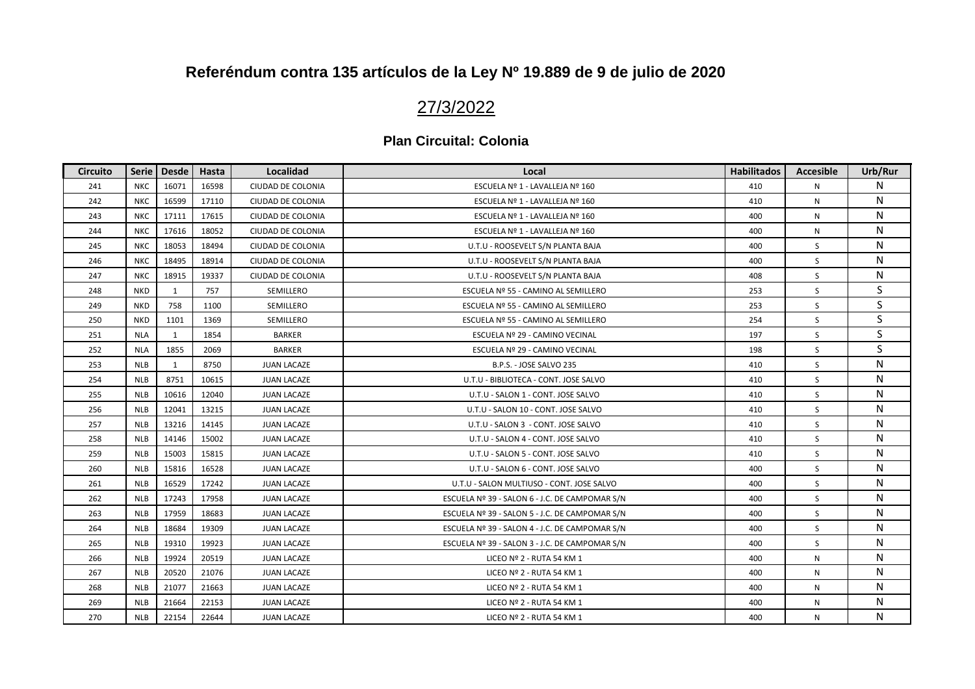## 27/3/2022

| <b>Circuito</b> | Serie      | <b>Desde</b> | Hasta | Localidad          | Local                                          | Habilitados | <b>Accesible</b> | Urb/Rur   |
|-----------------|------------|--------------|-------|--------------------|------------------------------------------------|-------------|------------------|-----------|
| 241             | <b>NKC</b> | 16071        | 16598 | CIUDAD DE COLONIA  | ESCUELA Nº 1 - LAVALLEJA Nº 160                | 410         | N                | N         |
| 242             | <b>NKC</b> | 16599        | 17110 | CIUDAD DE COLONIA  | ESCUELA Nº 1 - LAVALLEJA Nº 160                | 410         | N                | N         |
| 243             | <b>NKC</b> | 17111        | 17615 | CIUDAD DE COLONIA  | ESCUELA Nº 1 - LAVALLEJA Nº 160                | 400         | N                | N         |
| 244             | <b>NKC</b> | 17616        | 18052 | CIUDAD DE COLONIA  | ESCUELA Nº 1 - LAVALLEJA Nº 160                | 400         | N                | N         |
| 245             | <b>NKC</b> | 18053        | 18494 | CIUDAD DE COLONIA  | U.T.U - ROOSEVELT S/N PLANTA BAJA              | 400         | S                | N         |
| 246             | <b>NKC</b> | 18495        | 18914 | CIUDAD DE COLONIA  | U.T.U - ROOSEVELT S/N PLANTA BAJA              | 400         | S                | N         |
| 247             | <b>NKC</b> | 18915        | 19337 | CIUDAD DE COLONIA  | U.T.U - ROOSEVELT S/N PLANTA BAJA              | 408         | S                | N         |
| 248             | <b>NKD</b> | $\mathbf{1}$ | 757   | SEMILLERO          | ESCUELA Nº 55 - CAMINO AL SEMILLERO            | 253         | S                | S         |
| 249             | <b>NKD</b> | 758          | 1100  | SEMILLERO          | ESCUELA Nº 55 - CAMINO AL SEMILLERO            | 253         | S                | S         |
| 250             | <b>NKD</b> | 1101         | 1369  | SEMILLERO          | ESCUELA Nº 55 - CAMINO AL SEMILLERO            | 254         | S                | S         |
| 251             | <b>NLA</b> | 1            | 1854  | <b>BARKER</b>      | ESCUELA Nº 29 - CAMINO VECINAL                 | 197         | S                | S         |
| 252             | <b>NLA</b> | 1855         | 2069  | <b>BARKER</b>      | ESCUELA Nº 29 - CAMINO VECINAL                 | 198         | S                | S         |
| 253             | <b>NLB</b> | $\mathbf{1}$ | 8750  | <b>JUAN LACAZE</b> | B.P.S. - JOSE SALVO 235                        | 410         | S                | N         |
| 254             | <b>NLB</b> | 8751         | 10615 | <b>JUAN LACAZE</b> | U.T.U - BIBLIOTECA - CONT. JOSE SALVO          | 410         | S                | N         |
| 255             | <b>NLB</b> | 10616        | 12040 | <b>JUAN LACAZE</b> | U.T.U - SALON 1 - CONT. JOSE SALVO             | 410         | S                | N         |
| 256             | <b>NLB</b> | 12041        | 13215 | <b>JUAN LACAZE</b> | U.T.U - SALON 10 - CONT. JOSE SALVO            | 410         | S                | N         |
| 257             | <b>NLB</b> | 13216        | 14145 | <b>JUAN LACAZE</b> | U.T.U - SALON 3 - CONT. JOSE SALVO             | 410         | S                | N         |
| 258             | <b>NLB</b> | 14146        | 15002 | <b>JUAN LACAZE</b> | U.T.U - SALON 4 - CONT. JOSE SALVO             | 410         | S                | N         |
| 259             | <b>NLB</b> | 15003        | 15815 | <b>JUAN LACAZE</b> | U.T.U - SALON 5 - CONT. JOSE SALVO             | 410         | S                | N         |
| 260             | <b>NLB</b> | 15816        | 16528 | <b>JUAN LACAZE</b> | U.T.U - SALON 6 - CONT. JOSE SALVO             | 400         | S                | ${\sf N}$ |
| 261             | <b>NLB</b> | 16529        | 17242 | <b>JUAN LACAZE</b> | U.T.U - SALON MULTIUSO - CONT. JOSE SALVO      | 400         | S                | N         |
| 262             | <b>NLB</b> | 17243        | 17958 | <b>JUAN LACAZE</b> | ESCUELA Nº 39 - SALON 6 - J.C. DE CAMPOMAR S/N | 400         | S.               | N         |
| 263             | <b>NLB</b> | 17959        | 18683 | <b>JUAN LACAZE</b> | ESCUELA Nº 39 - SALON 5 - J.C. DE CAMPOMAR S/N | 400         | S                | N         |
| 264             | <b>NLB</b> | 18684        | 19309 | <b>JUAN LACAZE</b> | ESCUELA Nº 39 - SALON 4 - J.C. DE CAMPOMAR S/N | 400         | S                | N         |
| 265             | <b>NLB</b> | 19310        | 19923 | <b>JUAN LACAZE</b> | ESCUELA Nº 39 - SALON 3 - J.C. DE CAMPOMAR S/N | 400         | S                | N         |
| 266             | <b>NLB</b> | 19924        | 20519 | <b>JUAN LACAZE</b> | LICEO Nº 2 - RUTA 54 KM 1                      | 400         | Ν                | N         |
| 267             | <b>NLB</b> | 20520        | 21076 | <b>JUAN LACAZE</b> | LICEO Nº 2 - RUTA 54 KM 1                      | 400         | N                | N         |
| 268             | <b>NLB</b> | 21077        | 21663 | <b>JUAN LACAZE</b> | LICEO Nº 2 - RUTA 54 KM 1                      | 400         | N                | N         |
| 269             | <b>NLB</b> | 21664        | 22153 | <b>JUAN LACAZE</b> | LICEO Nº 2 - RUTA 54 KM 1                      | 400         | N                | N         |
| 270             | <b>NLB</b> | 22154        | 22644 | <b>JUAN LACAZE</b> | LICEO Nº 2 - RUTA 54 KM 1                      | 400         | N                | N         |